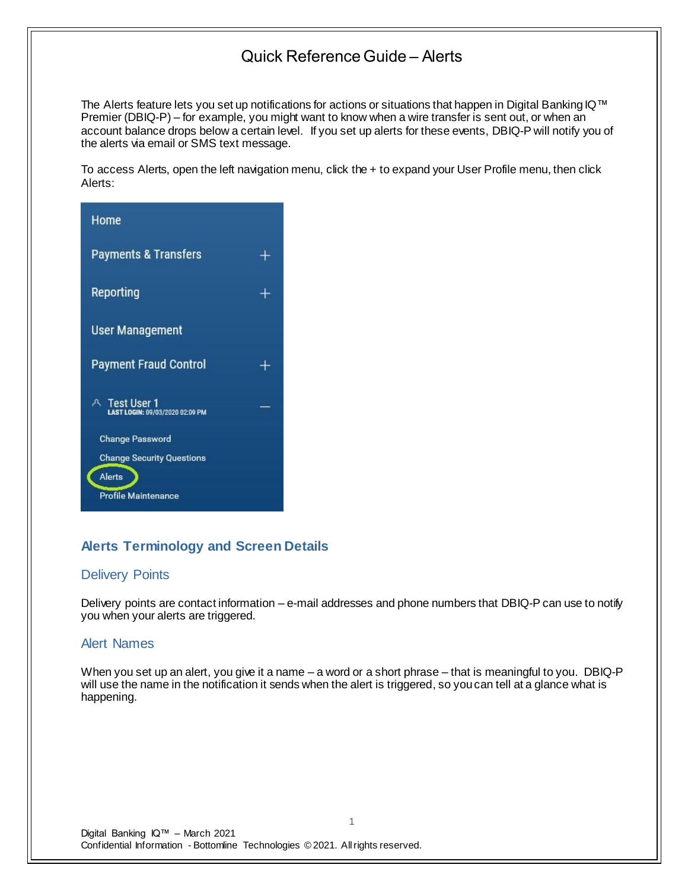The Alerts feature lets you set up notifications for actions or situations that happen in Digital Banking IQ™ Premier (DBIQ-P) – for example, you might want to know when a wire transfer is sent out, or when an account balance drops below a certain level. If you set up alerts for these events, DBIQ-P will notify you of the alerts via email or SMS text message.

To access Alerts, open the left navigation menu, click the + to expand your User Profile menu, then click Alerts:



## **Alerts Terminology and Screen Details**

## Delivery Points

Delivery points are contact information – e-mail addresses and phone numbers that DBIQ-P can use to notify you when your alerts are triggered.

## Alert Names

When you set up an alert, you give it a name – a word or a short phrase – that is meaningful to you. DBIQ-P will use the name in the notification it sends when the alert is triggered, so you can tell at a glance what is happening.

1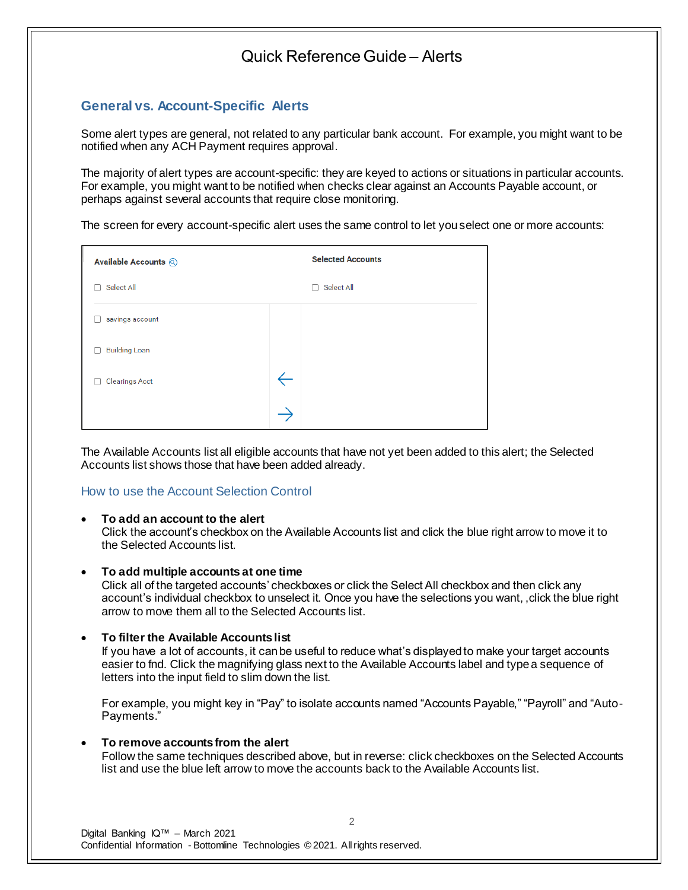## **General vs. Account-Specific Alerts**

Some alert types are general, not related to any particular bank account. For example, you might want to be notified when any ACH Payment requires approval.

The majority of alert types are account-specific: they are keyed to actions or situations in particular accounts. For example, you might want to be notified when checks clear against an Accounts Payable account, or perhaps against several accounts that require close monitoring.

The screen for every account-specific alert uses the same control to let you select one or more accounts:

| Available Accounts @  |              | <b>Selected Accounts</b> |
|-----------------------|--------------|--------------------------|
| Select All            |              | Select All<br>Ξ          |
| savings account       |              |                          |
| <b>Building Loan</b>  |              |                          |
| <b>Clearings Acct</b> | $\leftarrow$ |                          |
|                       |              |                          |

The Available Accounts list all eligible accounts that have not yet been added to this alert; the Selected Accounts list shows those that have been added already.

## How to use the Account Selection Control

## • **To add an account to the alert**

Click the account's checkbox on the Available Accounts list and click the blue right arrow to move it to the Selected Accounts list.

## • **To add multiple accounts at one time**

Click all of the targeted accounts' checkboxes or click the Select All checkbox and then click any account's individual checkbox to unselect it. Once you have the selections you want, ,click the blue right arrow to move them all to the Selected Accounts list.

## • **To filter the Available Accounts list**

If you have a lot of accounts, it can be useful to reduce what's displayed to make your target accounts easier to fnd. Click the magnifying glass next to the Available Accounts label and type a sequence of letters into the input field to slim down the list.

For example, you might key in "Pay" to isolate accounts named "Accounts Payable," "Payroll" and "Auto-Payments."

## • **To remove accounts from the alert**

Follow the same techniques described above, but in reverse: click checkboxes on the Selected Accounts list and use the blue left arrow to move the accounts back to the Available Accounts list.

2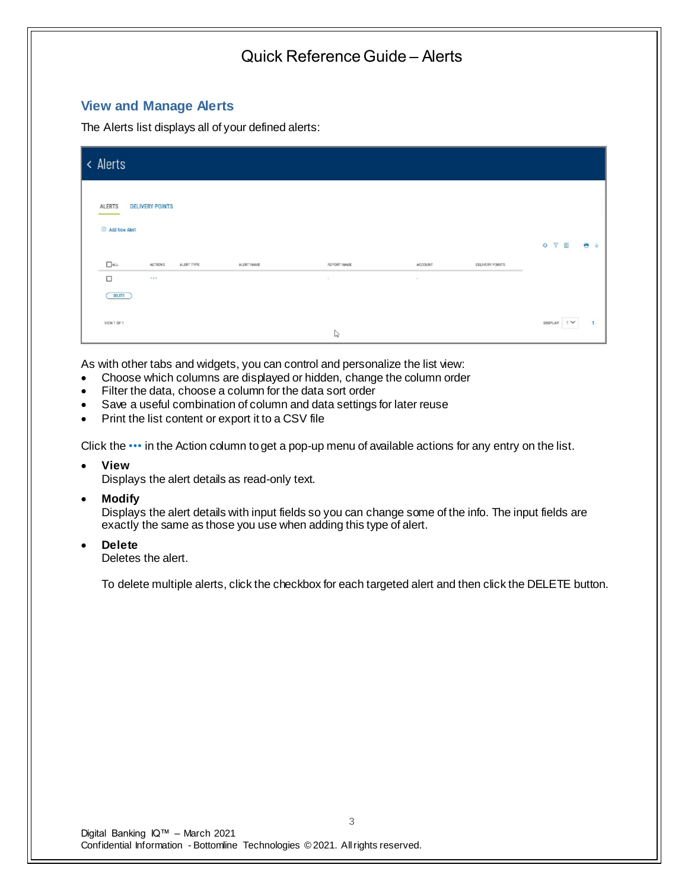## **View and Manage Alerts**

The Alerts list displays all of your defined alerts:

| < Alerts                                                                   |                       |                   |                        |                             |
|----------------------------------------------------------------------------|-----------------------|-------------------|------------------------|-----------------------------|
| <b>ALERTS</b><br><b>DELIVERY POINTS</b><br><b>E</b> Add New Alert          |                       |                   |                        | Y.<br>Ш<br>● 业<br>$\bullet$ |
| $\Box$ ALL<br>ALERT NAME<br><b>ACTIONS</b><br>ALERT TYPE<br>$\Box$<br>1.11 | REPORT NAME<br>$\sim$ | ACCOUNT<br>$\sim$ | <b>CELIVERY POINTS</b> |                             |
| DELETE )<br>VIEW 1 OF 1                                                    | ↳                     |                   |                        | 1 <sup>2</sup><br>DISPLAY   |

As with other tabs and widgets, you can control and personalize the list view:

- Choose which columns are displayed or hidden, change the column order
- Filter the data, choose a column for the data sort order
- Save a useful combination of column and data settings for later reuse
- Print the list content or export it to a CSV file

Click the ••• in the Action column to get a pop-up menu of available actions for any entry on the list.

• **View**

Displays the alert details as read-only text.

• **Modify**

Displays the alert details with input fields so you can change some of the info. The input fields are exactly the same as those you use when adding this type of alert.

• **Delete**

Deletes the alert.

To delete multiple alerts, click the checkbox for each targeted alert and then click the DELETE button.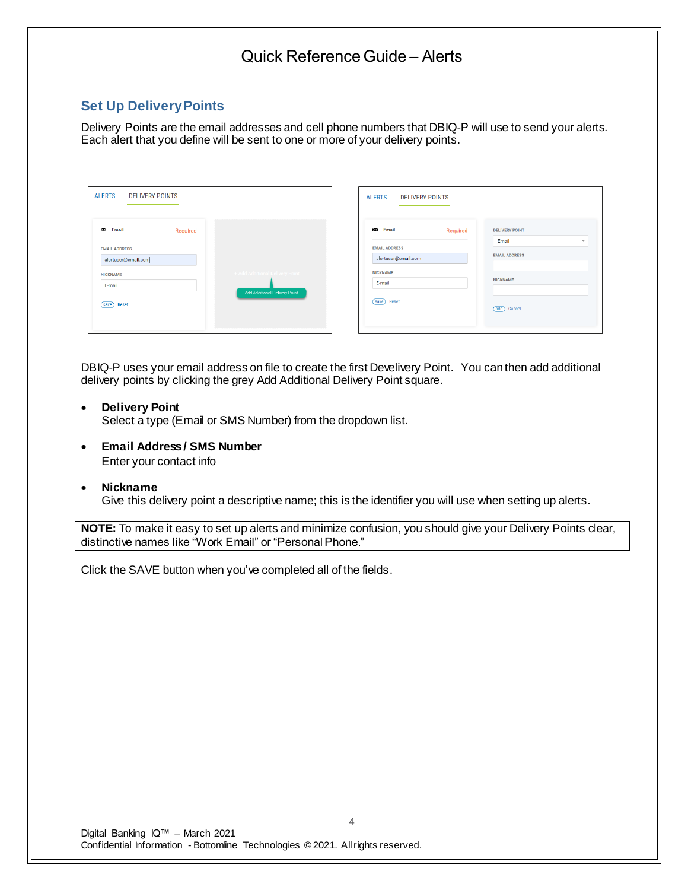## **Set Up Delivery Points**

Delivery Points are the email addresses and cell phone numbers that DBIQ-P will use to send your alerts. Each alert that you define will be sent to one or more of your delivery points.

| <b>ALERTS</b>        | <b>DELIVERY POINTS</b> |          |                                      |
|----------------------|------------------------|----------|--------------------------------------|
| <b>Email</b>         |                        | Required |                                      |
| <b>EMAIL ADDRESS</b> | alertuser@email.com    |          |                                      |
| <b>NICKNAME</b>      |                        |          | + Add Additional Delivery Point      |
| E-mail               |                        |          | <b>Add Additional Delivery Point</b> |
| Reset<br>save)       |                        |          |                                      |
|                      |                        |          |                                      |

| <b>Email</b><br>Required | <b>DELIVERY POINT</b> |
|--------------------------|-----------------------|
|                          |                       |
|                          | Email<br>٠            |
| <b>EMAIL ADDRESS</b>     | <b>EMAIL ADDRESS</b>  |
| alertuser@email.com      |                       |
| <b>NICKNAME</b>          |                       |
| E-mail                   | <b>NICKNAME</b>       |
|                          |                       |
|                          |                       |

DBIQ-P uses your email address on file to create the first Develivery Point. You can then add additional delivery points by clicking the grey Add Additional Delivery Point square.

## • **Delivery Point**

Select a type (Email or SMS Number) from the dropdown list.

- **Email Address / SMS Number** Enter your contact info
- **Nickname**

Give this delivery point a descriptive name; this is the identifier you will use when setting up alerts.

**NOTE:** To make it easy to set up alerts and minimize confusion, you should give your Delivery Points clear, distinctive names like "Work Email" or "Personal Phone."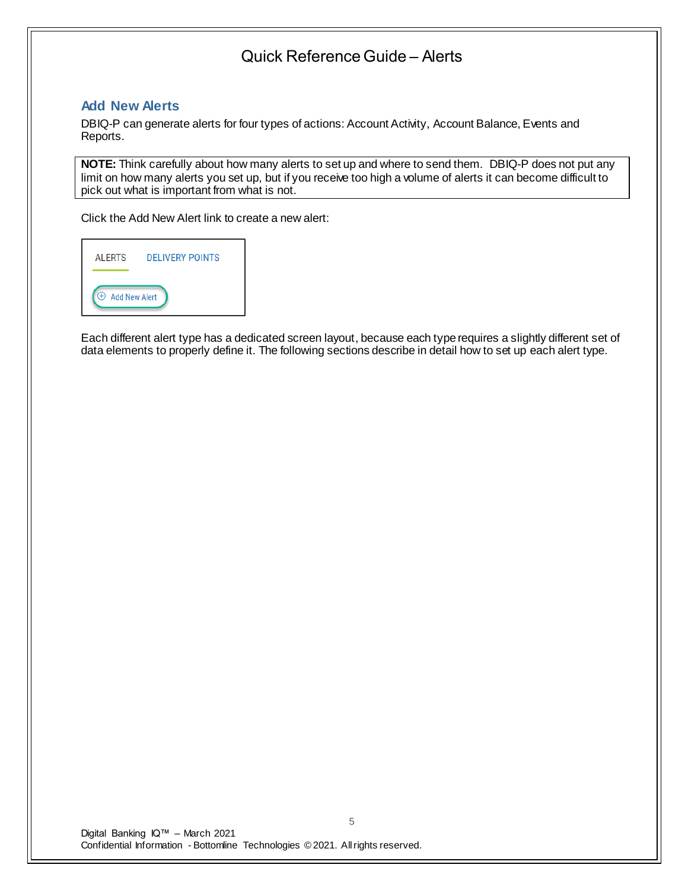## **Add New Alerts**

DBIQ-P can generate alerts for four types of actions: Account Activity, Account Balance, Events and Reports.

**NOTE:** Think carefully about how many alerts to set up and where to send them. DBIQ-P does not put any limit on how many alerts you set up, but if you receive too high a volume of alerts it can become difficult to pick out what is important from what is not.

Click the Add New Alert link to create a new alert:



Each different alert type has a dedicated screen layout, because each type requires a slightly different set of data elements to properly define it. The following sections describe in detail how to set up each alert type.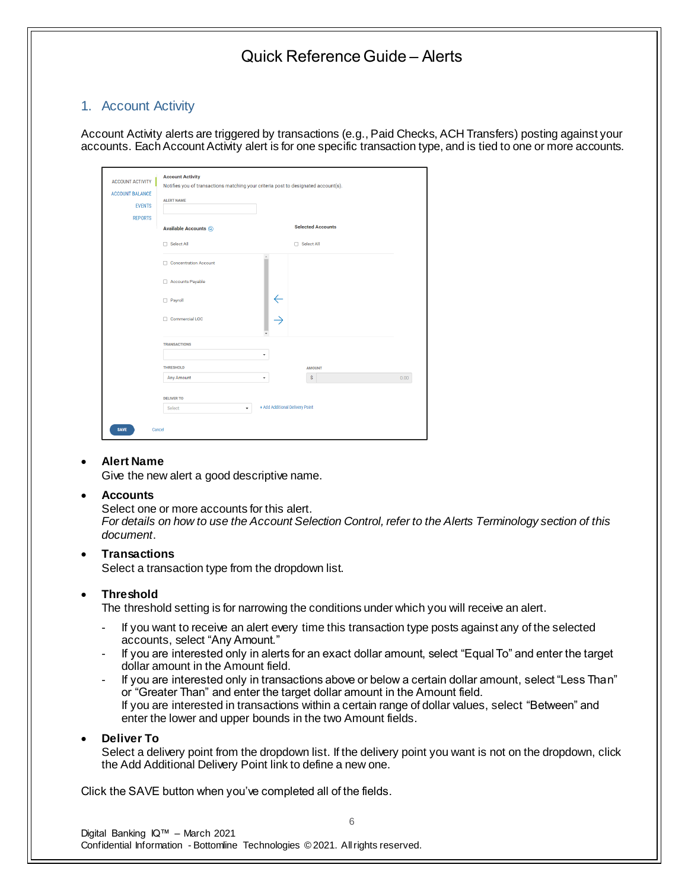## 1. Account Activity

Account Activity alerts are triggered by transactions (e.g., Paid Checks, ACH Transfers) posting against your accounts. Each Account Activity alert is for one specific transaction type, and is tied to one or more accounts.

| <b>ALERT NAME</b>                |          |               |                                                                                                                                                                   |
|----------------------------------|----------|---------------|-------------------------------------------------------------------------------------------------------------------------------------------------------------------|
| <b>Available Accounts @</b>      |          |               |                                                                                                                                                                   |
| □ Select All                     |          |               |                                                                                                                                                                   |
| Concentration Account            | $\Delta$ |               |                                                                                                                                                                   |
| Accounts Payable                 |          |               |                                                                                                                                                                   |
| $\Box$ Payroll                   |          |               |                                                                                                                                                                   |
| Commercial LOC                   |          |               |                                                                                                                                                                   |
| <b>TRANSACTIONS</b>              |          |               |                                                                                                                                                                   |
| <b>THRESHOLD</b>                 |          | <b>AMOUNT</b> |                                                                                                                                                                   |
| Any Amount                       | ٠        | \$            | 0.00                                                                                                                                                              |
| <b>DELIVER TO</b><br>Select<br>٠ |          |               |                                                                                                                                                                   |
|                                  |          | ٠             | Notifies you of transactions matching your criteria post to designated account(s).<br><b>Selected Accounts</b><br>□ Select All<br>+ Add Additional Delivery Point |

## • **Alert Name**

Give the new alert a good descriptive name.

## • **Accounts**

Select one or more accounts for this alert.

*For details on how to use the Account Selection Control, refer to the Alerts Terminology section of this document*.

## • **Transactions**

Select a transaction type from the dropdown list.

## • **Threshold**

The threshold setting is for narrowing the conditions under which you will receive an alert.

- If you want to receive an alert every time this transaction type posts against any of the selected accounts, select "Any Amount."
- If you are interested only in alerts for an exact dollar amount, select "Equal To" and enter the target dollar amount in the Amount field.
- If you are interested only in transactions above or below a certain dollar amount, select "Less Than" or "Greater Than" and enter the target dollar amount in the Amount field. If you are interested in transactions within a certain range of dollar values, select "Between" and enter the lower and upper bounds in the two Amount fields.

## • **Deliver To**

Select a delivery point from the dropdown list. If the delivery point you want is not on the dropdown, click the Add Additional Delivery Point link to define a new one.

6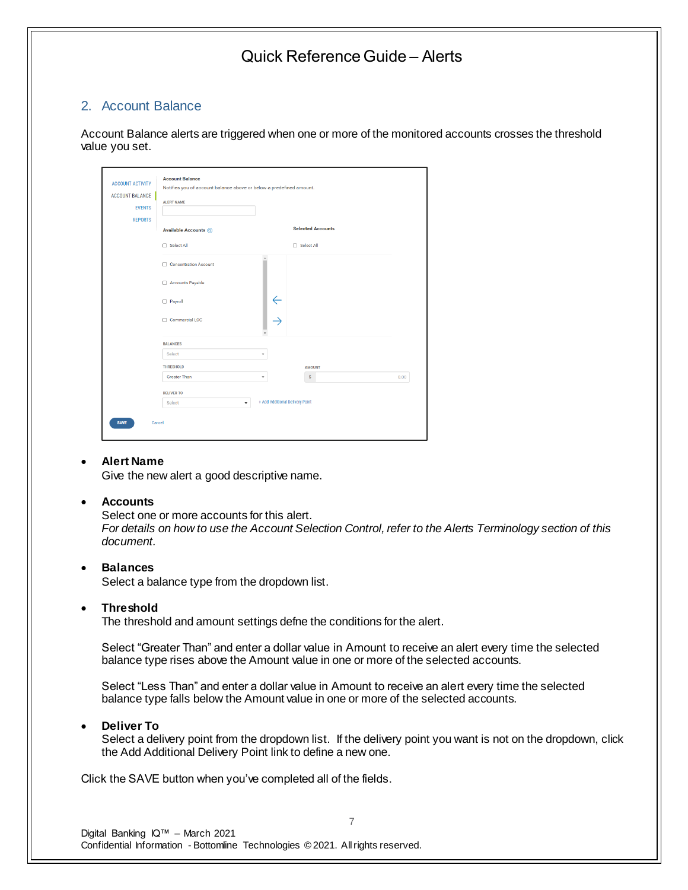## 2. Account Balance

Account Balance alerts are triggered when one or more of the monitored accounts crosses the threshold value you set.

| <b>EVENTS</b>  | <b>ALERT NAME</b>           |                                 |                          |      |  |
|----------------|-----------------------------|---------------------------------|--------------------------|------|--|
| <b>REPORTS</b> | <b>Available Accounts @</b> |                                 | <b>Selected Accounts</b> |      |  |
|                | □ Select All                |                                 | □ Select All             |      |  |
|                | Concentration Account       |                                 |                          |      |  |
|                | Accounts Payable            |                                 |                          |      |  |
|                | Payroll                     |                                 |                          |      |  |
|                | Commercial LOC              |                                 |                          |      |  |
|                | <b>BALANCES</b>             |                                 |                          |      |  |
|                | Select                      | ٠                               |                          |      |  |
|                | <b>THRESHOLD</b>            |                                 | <b>AMOUNT</b>            |      |  |
|                | <b>Greater Than</b>         | ٠                               | \$                       | 0.00 |  |
|                | <b>DELIVER TO</b>           |                                 |                          |      |  |
|                | Select<br>٠                 | + Add Additional Delivery Point |                          |      |  |

## • **Alert Name**

Give the new alert a good descriptive name.

#### • **Accounts**

Select one or more accounts for this alert. *For details on how to use the Account Selection Control, refer to the Alerts Terminology section of this document.*

### • **Balances**

Select a balance type from the dropdown list.

#### • **Threshold**

The threshold and amount settings defne the conditions for the alert.

Select "Greater Than" and enter a dollar value in Amount to receive an alert every time the selected balance type rises above the Amount value in one or more of the selected accounts.

Select "Less Than" and enter a dollar value in Amount to receive an alert every time the selected balance type falls below the Amount value in one or more of the selected accounts.

#### • **Deliver To**

Select a delivery point from the dropdown list. If the delivery point you want is not on the dropdown, click the Add Additional Delivery Point link to define a new one.

7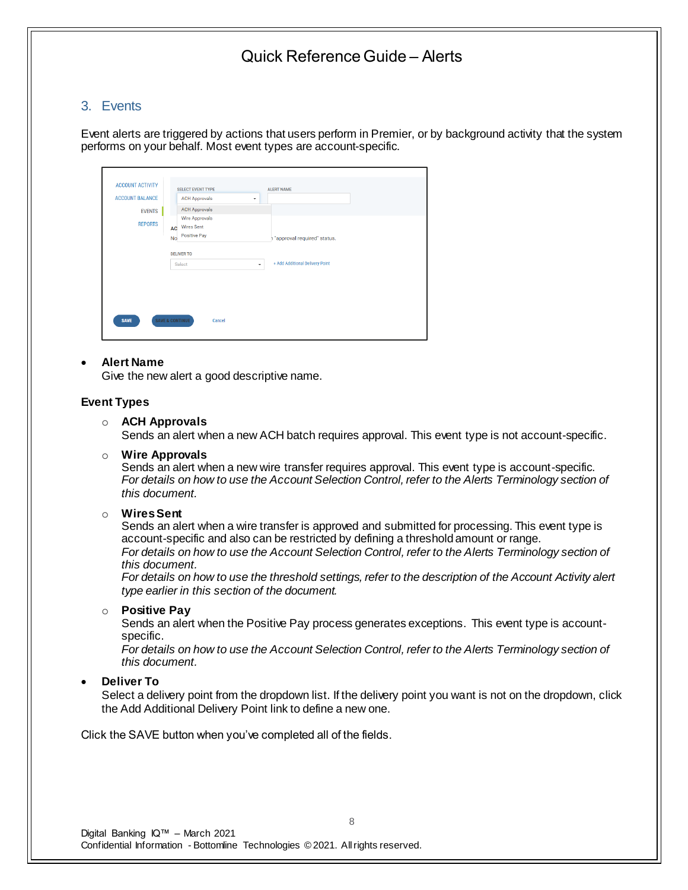## 3. Events

Event alerts are triggered by actions that users perform in Premier, or by background activity that the system performs on your behalf. Most event types are account-specific.

| <b>ACCOUNT ACTIVITY</b> | <b>SELECT EVENT TYPE</b>                  | <b>ALERT NAME</b>                          |  |
|-------------------------|-------------------------------------------|--------------------------------------------|--|
| <b>ACCOUNT BALANCE</b>  | <b>ACH Approvals</b>                      | ۰                                          |  |
| <b>EVENTS</b>           | <b>ACH Approvals</b>                      |                                            |  |
| <b>REPORTS</b>          | Wire Approvals<br><b>Wires Sent</b><br>AC |                                            |  |
|                         | Positive Pay<br><b>No</b>                 | h "approval required" status.              |  |
|                         | <b>DELIVER TO</b>                         |                                            |  |
|                         | Select                                    | + Add Additional Delivery Point<br>$\star$ |  |
|                         |                                           |                                            |  |
|                         | <b>SAVE &amp; CONTINUE</b>                |                                            |  |

## • **Alert Name**

Give the new alert a good descriptive name.

## **Event Types**

### o **ACH Approvals**

Sends an alert when a new ACH batch requires approval. This event type is not account-specific.

o **Wire Approvals**

Sends an alert when a new wire transfer requires approval. This event type is account-specific. *For details on how to use the Account Selection Control, refer to the Alerts Terminology section of this document.*

#### o **Wires Sent**

Sends an alert when a wire transfer is approved and submitted for processing. This event type is account-specific and also can be restricted by defining a threshold amount or range.

*For details on how to use the Account Selection Control, refer to the Alerts Terminology section of this document.*

*For details on how to use the threshold settings, refer to the description of the Account Activity alert type earlier in this section of the document.*

#### o **Positive Pay**

Sends an alert when the Positive Pay process generates exceptions. This event type is accountspecific.

For details on how to use the Account Selection Control, refer to the Alerts Terminology section of *this document.*

• **Deliver To**

Select a delivery point from the dropdown list. If the delivery point you want is not on the dropdown, click the Add Additional Delivery Point link to define a new one.